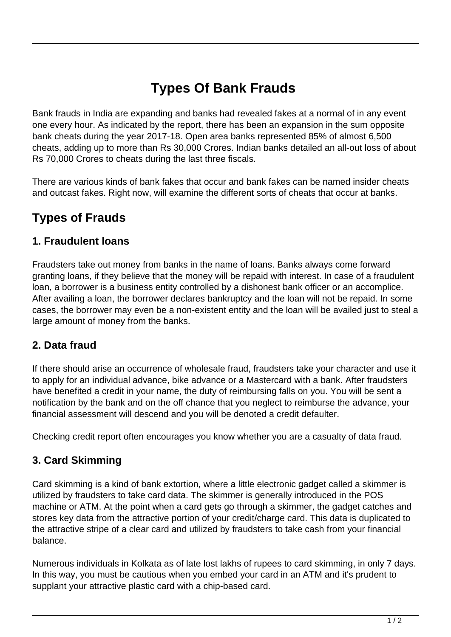# **Types Of Bank Frauds**

Bank frauds in India are expanding and banks had revealed fakes at a normal of in any event one every hour. As indicated by the report, there has been an expansion in the sum opposite bank cheats during the year 2017-18. Open area banks represented 85% of almost 6,500 cheats, adding up to more than Rs 30,000 Crores. Indian banks detailed an all-out loss of about Rs 70,000 Crores to cheats during the last three fiscals.

There are various kinds of bank fakes that occur and bank fakes can be named insider cheats and outcast fakes. Right now, will examine the different sorts of cheats that occur at banks.

# **Types of Frauds**

#### **1. Fraudulent loans**

Fraudsters take out money from banks in the name of loans. Banks always come forward granting loans, if they believe that the money will be repaid with interest. In case of a fraudulent loan, a borrower is a business entity controlled by a dishonest bank officer or an accomplice. After availing a loan, the borrower declares bankruptcy and the loan will not be repaid. In some cases, the borrower may even be a non-existent entity and the loan will be availed just to steal a large amount of money from the banks.

#### **2. Data fraud**

If there should arise an occurrence of wholesale fraud, fraudsters take your character and use it to apply for an individual advance, bike advance or a Mastercard with a bank. After fraudsters have benefited a credit in your name, the duty of reimbursing falls on you. You will be sent a notification by the bank and on the off chance that you neglect to reimburse the advance, your financial assessment will descend and you will be denoted a credit defaulter.

Checking credit report often encourages you know whether you are a casualty of data fraud.

#### **3. Card Skimming**

Card skimming is a kind of bank extortion, where a little electronic gadget called a skimmer is utilized by fraudsters to take card data. The skimmer is generally introduced in the POS machine or ATM. At the point when a card gets go through a skimmer, the gadget catches and stores key data from the attractive portion of your credit/charge card. This data is duplicated to the attractive stripe of a clear card and utilized by fraudsters to take cash from your financial balance.

Numerous individuals in Kolkata as of late lost lakhs of rupees to card skimming, in only 7 days. In this way, you must be cautious when you embed your card in an ATM and it's prudent to supplant your attractive plastic card with a chip-based card.